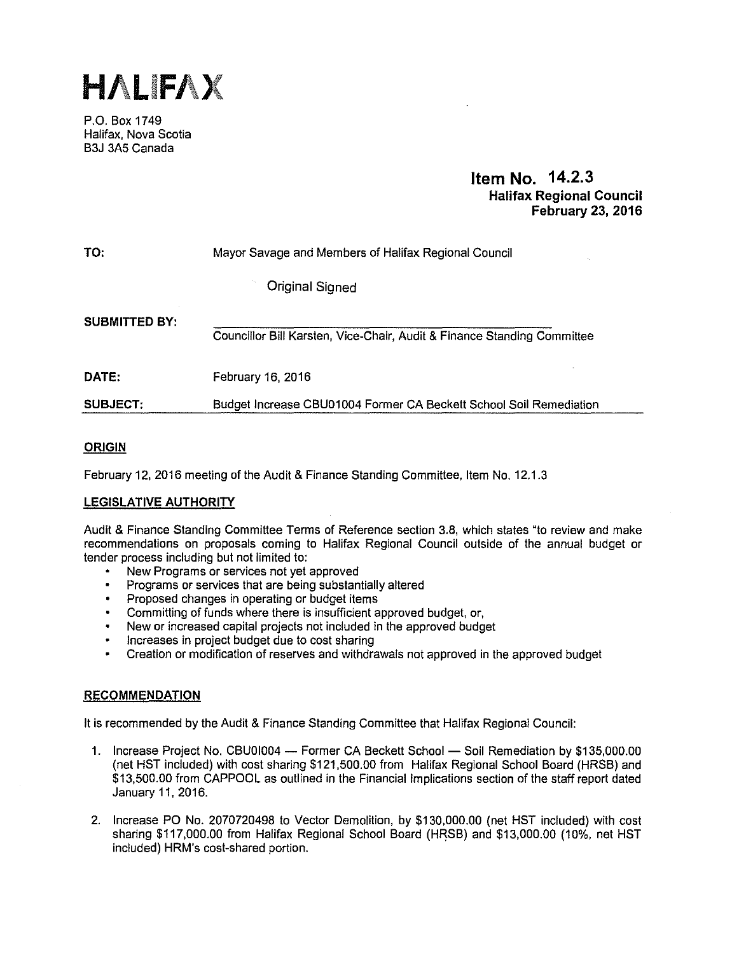

P.O. Box 1749 Halifax, Nova Scotia B3J 3A5 Canada

# **Item No. 14.2.3 Halifax Regional Council February** 23, **2016**

| TO:                  | Mayor Savage and Members of Halifax Regional Council                    |
|----------------------|-------------------------------------------------------------------------|
|                      | Original Signed                                                         |
| <b>SUBMITTED BY:</b> | Councillor Bill Karsten, Vice-Chair, Audit & Finance Standing Committee |
| DATE:                | February 16, 2016                                                       |
| <b>SUBJECT:</b>      | Budget Increase CBU01004 Former CA Beckett School Soil Remediation      |

# **ORIGIN**

February 12, 2016 meeting of the Audit & Finance Standing Committee, Item No. 12.1.3

# **LEGISLATIVE AUTHORITY**

Audit & Finance Standing Committee Terms of Reference section 3.8, which states "to review and make recommendations on proposals coming to Halifax Regional Council outside of the annual budget or tender process including but not limited to:

- New Programs or services not yet approved
- Programs or services that are being substantially altered
- Proposed changes in operating or budget items  $\bullet$
- Committing of funds where there is insufficient approved budget, or,  $\bullet$
- New or increased capital projects not included in the approved budget
- Increases in project budget due to cost sharing
- Creation or modification of reserves and withdrawals not approved in the approved budget

## **RECOMMENDATION**

It is recommended by the Audit & Finance Standing Committee that Halifax Regional Council:

- 1. Increase Project No. CBU01004 Former CA Beckett School Soil Remediation by \$135,000.00 (net HST included) with cost sharing \$121,500.00 from Halifax Regional School Board (HRSB) and \$13,500.00 from CAPPOOL as outlined in the Financial Implications section of the staff report dated January 11, 2016.
- 2. Increase PO No. 2070720498 to Vector Demolition, by \$130,000.00 (net HST included) with cost sharing \$117,000.00 from Halifax Regional School Board (HRSB) and \$13,000.00 (10%, net HST included) HRM's cost-shared portion.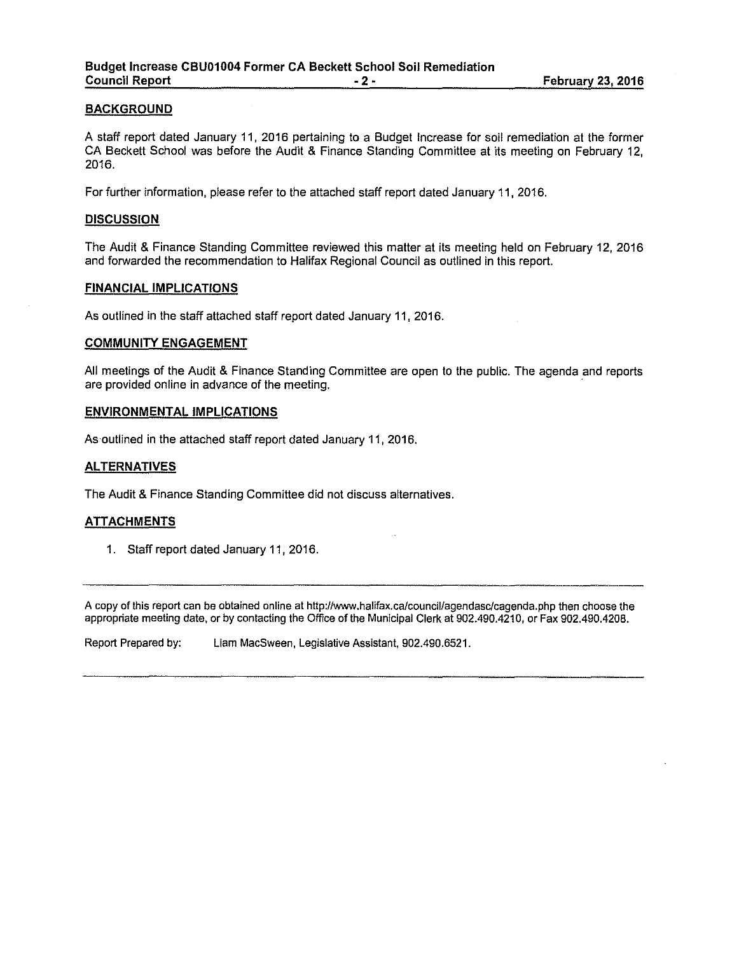#### **BACKGROUND**

A staff report dated January 11, 2016 pertaining to a Budget Increase for soil remediation at the former CA Beckett School was before the Audit & Finance Standing Committee at its meeting on February 12, 2016.

For further information, please refer to the attached staff report dated January 11, 2016.

#### **DISCUSSION**

The Audit & Finance Standing Committee reviewed this matter at its meeting held on February 12, 2016 and forwarded the recommendation to Halifax Regional Council as outlined in this report.

#### **FINANCIAL IMPLICATIONS**

As outlined in the staff attached staff report dated January 11, 2016.

#### **COMMUNITY ENGAGEMENT**

All meetings of the Audit & Finance Standing Committee are open to the public. The agenda and reports are provided online in advance of the meeting.

#### **ENVIRONMENTAL IMPLICATIONS**

As outlined in the attached staff report dated January 11, 2016.

#### **ALTERNATIVES**

The Audit & Finance Standing Committee did not discuss alternatives.

#### **ATIACHMENTS**

1. Staff report dated January 11, 2016.

A copy of this report can be obtained online at http://www.halifax.ca/council/agendasc/cagenda.php then choose the appropriate meeting date, or by contacting the Office of the Municipal Clerk at 902.490.4210, or Fax 902.490.4208.

Report Prepared by: Liam MacSween, Legislative Assistant, 902.490.6521.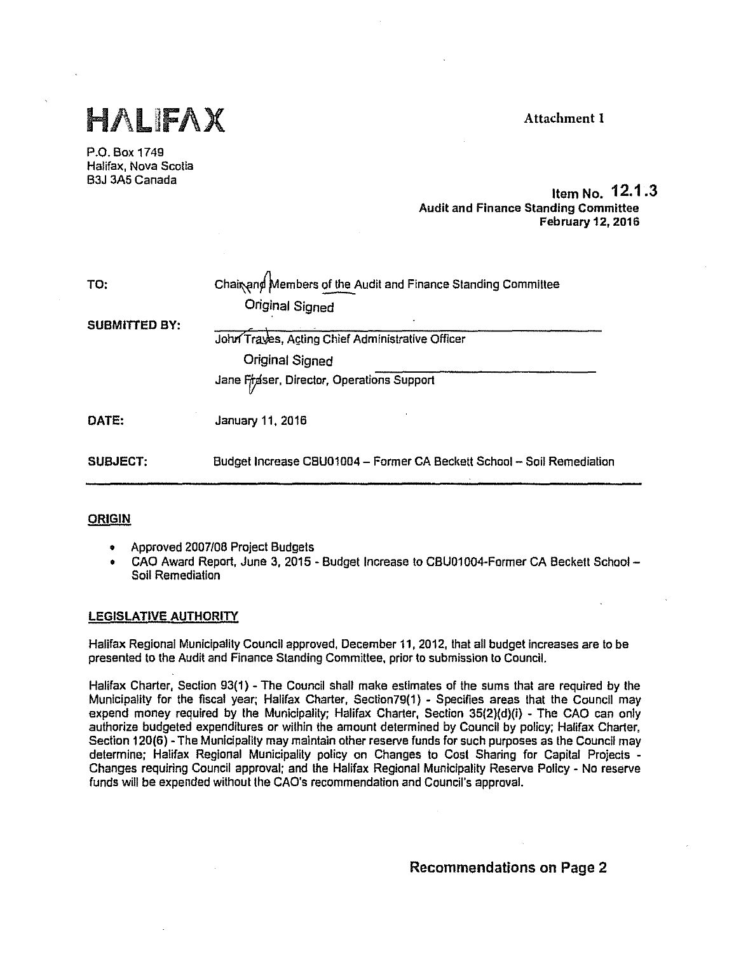

P.O. Box 1749 Halifax, Nova Scotia B3J 3A5 Canada

# Item No. **12.1 .3**  Audit and Finance Standing Committee February 12, 2016

| TO:                  | Chairend Members of the Audit and Finance Standing Committee<br><b>Original Signed</b>                           |
|----------------------|------------------------------------------------------------------------------------------------------------------|
| <b>SUBMITTED BY:</b> | John Traves, Acting Chief Administrative Officer<br>Original Signed<br>Jane Fraser, Director, Operations Support |
| DATE:                | January 11, 2016                                                                                                 |
| <b>SUBJECT:</b>      | Budget Increase CBU01004 - Former CA Beckett School - Soil Remediation                                           |

# **ORIGIN**

- Approved 2007/08 Project Budgets
- CAO Award Report, June 3, 2015 Budget Increase to CBU01004-Former CA Beckett School Soil Remediation

## LEGISLATIVE AUTHORITY

Halifax Regional Municipality Council approved, December 11, 2012, that all budget increases are to be presented to the Audit and Finance Standing Committee, prior to submission to Council.

Halifax Charter, Section 93(1) - The Council shall make estimates of the sums that are required by the Municipality for the fiscal year; Halifax Charter, Sectlon79(1) - Specifies areas that the Council may expend money required by the Municipality; Halifax Charter, Section 35(2)(d)(i) - The CAO can only authorize budgeted expenditures or within the amount determined by Council by policy; Halifax Charter, Section 120(6) - The Municipality may maintain other reserve funds for such purposes as the Council may determine; Halifax Regional Municipality policy on Changes lo Cost Sharing for Capital Projects - Changes requiring Council approval; and the Halifax Regional Municipality Reserve Policy - No reserve funds will be expended without the CAO's recommendation and Council's approval.

Recommendations on Page 2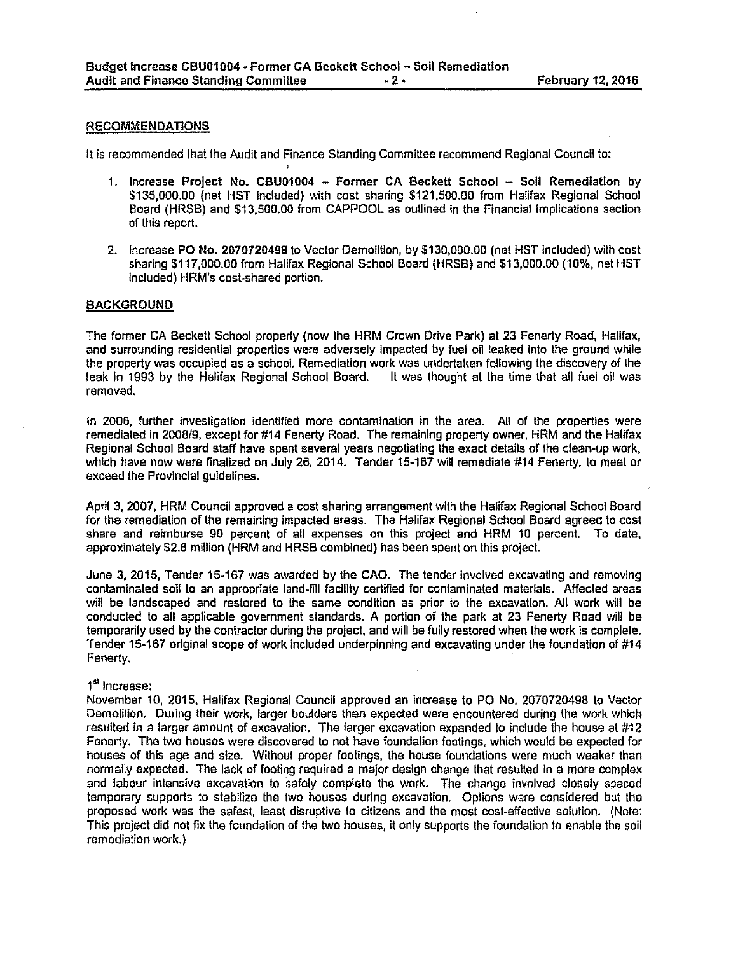#### RECOMMENDATIONS

It is recommended lhal the Audit and Finance Standing Committee recommend Regional Council lo:

- 1. Increase Project No. CBU01004 Former CA Beckett School Soll Remediation by \$135,000.00 (net HST included) with cost sharing \$121,500.00 from Halifax Regional School Board (HRSB) and \$13,500.00 from CAPPOOL as outlined fn lhe Financial Implications section of this report.
- 2. Increase PO No. 2070720498 to Vector Demolition, by \$130,000.00 (net HST included) with cost sharing \$117,000.00 from Halifax Regional School Board (HRSB) and \$13,000.00 (10%, net HST Included) HRM's cost-shared portion.

#### **BACKGROUND**

The former CA Beckett School property (now the HRM Crown Drive Park) at 23 Fenerty Road, Halifax, and surrounding residential properties were adversely impacted by fuel oil leaked Into the ground while the property was occupied as a school. Remediation work was undertaken following the discovery of the leak fn 1993 by the Halifax Regional School Board. It was lhought at lhe time lhat all fuel oll was removed.

In 2006, further investigation identified more contamination in the area. All of the properties were remediated in 2008/9, except for #14 Fenerty Road. The remaining property owner, HRM and the Halifax Regional School Board staff have spent several years negotiating the exact details of the clean-up work, which have now were finalized on July 26, 2014. Tender 15-167 will remediate #14 Fenerty, to meet or exceed the Provincial guidelines.

April 3, 2007, HRM Council approved a cost sharing arrangement with the Halifax Regional School Board for lhe remediation of the remaining impacted areas. The Halifax Regional School Board agreed lo cost share and reimburse 90 percent of all expenses on this project and HRM 10 percent. To date, approximately \$2.8 million {HRM and HRSB combined) has been spent on this project.

June 3, 2015, Tender 15-167 was awarded by the CAO. The tender Involved excavating and removing contaminated soil to an appropriate land-fill facility certified for conlaminated materials. Affected areas will be landscaped and restored to lhe same condition as prior lo the excavation. All work will be conducled lo all applicable government standards. A portion of the park at 23 Fenerty Road will be temporarily used by the contractor during the project, and will be fully restored when the work is complete. Tender 15-167 original scope of work included underpinning and excavating under the foundation of #14 Fenerty.

#### 1<sup>st</sup> Increase:

November 10, 2015, Halifax Regional Council approved an increase to PO No. 2070720498 to Vector Demolition. During their work, larger boulders then expected were encountered during the work which resulted in a larger amount of excavation. The larger excavation expanded to include the house at #12 Fenerty. The two houses were discovered to not have foundation foolings, which would be expected for houses of this age and size. Without proper footings, the house foundations were much weaker than normally expected. The lack of footing required a major design change that resulted in a more complex and labour intensive excavation to safely complete the work. The change involved closely spaced temporary supports to stabilize the lwo houses during excavation. Options were considered but the proposed work was the safest, least disruptive lo citizens and the most cost-effective solulfon. (Note: This project did not fix the foundation of the two houses, ii only supports the foundation to enable the soil remediation work.)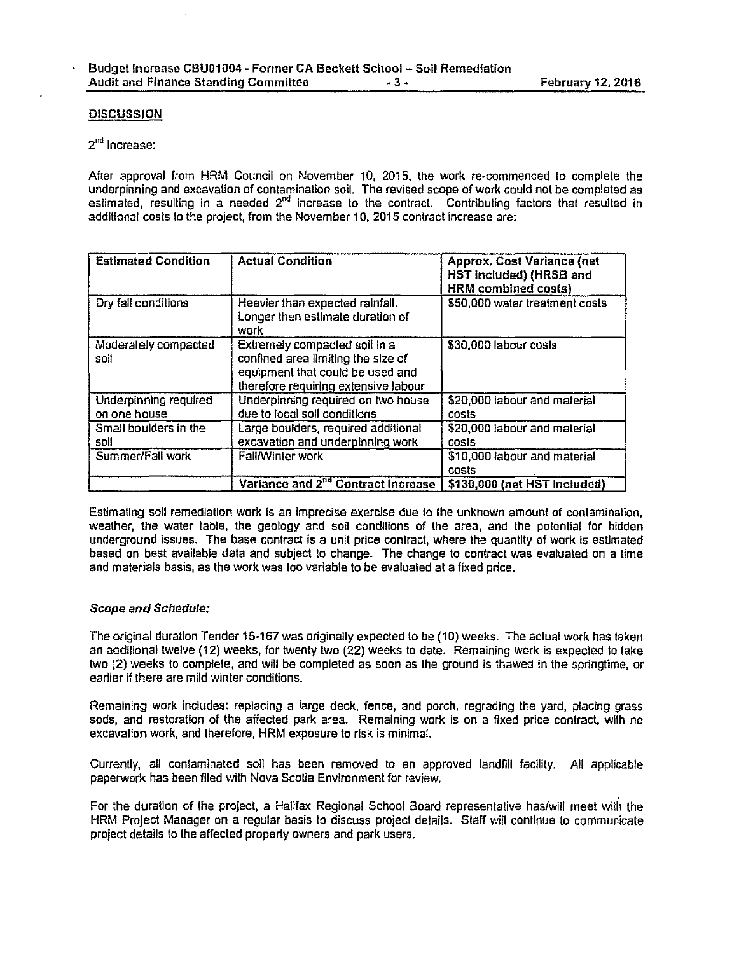## **DISCUSSION**

# 2"d Increase:

After approval from HRM Council on November 10, 2015, the work re-commenced lo complete the underpinning and excavation of contamination soil. The revised scope of work could not be completed as estimated, resulting in a needed 2<sup>nd</sup> increase to the contract. Contributing factors that resulted in additional costs to the project, from the November 10, 2015 contract increase are:

| <b>Estimated Condition</b>            | <b>Actual Condition</b>                                                                                                                         | <b>Approx. Cost Variance (net</b><br>HST included) (HRSB and<br><b>HRM</b> combined costs) |
|---------------------------------------|-------------------------------------------------------------------------------------------------------------------------------------------------|--------------------------------------------------------------------------------------------|
| Dry fall conditions                   | Heavier than expected rainfall.<br>Longer then estimate duration of<br>work                                                                     | \$50,000 water treatment costs                                                             |
| Moderately compacted<br>soil          | Extremely compacted soil in a<br>confined area limiting the size of<br>equipment that could be used and<br>therefore requiring extensive labour | \$30,000 labour costs                                                                      |
| Underpinning required<br>on one house | Underpinning required on two house<br>due to local soil conditions                                                                              | \$20,000 labour and material<br>costs                                                      |
| Small boulders in the<br>soil         | Large boulders, required additional<br>excavation and underpinning work                                                                         | \$20,000 labour and material<br>costs                                                      |
| Summer/Fall work                      | <b>Fall/Winter work</b>                                                                                                                         | \$10,000 labour and material<br>costs                                                      |
|                                       | Variance and 2 <sup>nd</sup> Contract Increase                                                                                                  | \$130,000 (net HST included)                                                               |

Estimating soil remediation work is an Imprecise exercise due to the unknown amount of contamination, weather, the water table, the geology and soil conditions of the area, and the potential for hidden underground issues. The base contract is a unit price contract, where the quantity of work is estimated based on best available data and subject to change. The change to contract was evaluated on a time and materials basis, as the work was too variable to be evaluated at a fixed price.

#### Scope and Schedule:

The original duration Tender 15-167 was originally expected to be (10) weeks. The actual work has taken an additional twelve (12) weeks, for twenty two (22) weeks to date. Remaining work is expected to take two (2) weeks to complete, and will be completed as soon as the ground is thawed in the springtime, or earlier if there are mild winter conditions.

Remaining work includes: replacing a large deck, fence, and porch, regrading the yard, placing grass sods, and restoration of the affected park area. Remaining work is on a fixed price contract, with no excavation work, and therefore, HRM exposure to risk is minimal.

Currently, all contaminated soil has been removed to an approved landfill facility. All applicable paperwork has been filed with Nova Scotia Environment for review.

For the duration of the project, a Halifax Regional School Board representative has/will meet with the HRM Project Manager on a regular basis to discuss project details. Staff will continue to communicate project details to the affected property owners and park users.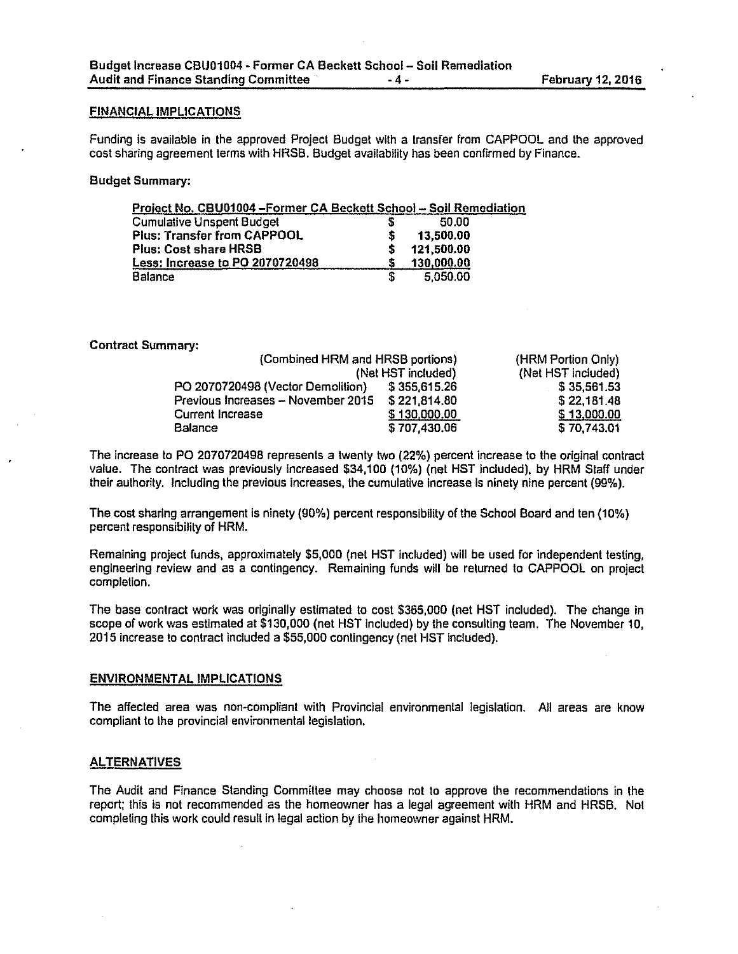#### FINANCIAL IMPLICATIONS

Funding is available in the approved Project Budget with a lransfer from CAPPOOL and the approved cost sharing agreement terms with HRSB. Budget availability has been confirmed by Finance.

#### Budget Summary:

| Project No. CBU01004-Former CA Beckett School-Soil Remediation |            |  |
|----------------------------------------------------------------|------------|--|
| <b>Cumulative Unspent Budget</b>                               | 50.00      |  |
| <b>Plus: Transfer from CAPPOOL</b>                             | 13,500.00  |  |
| <b>Plus: Cost share HRSB</b>                                   | 121,500.00 |  |
| <b>Less: Increase to PO 2070720498</b>                         | 130,000.00 |  |
| <b>Balance</b>                                                 | 5.050.00   |  |

Contract Summary:

| (Combined HRM and HRSB portions)   |              | (HRM Portion Only) |
|------------------------------------|--------------|--------------------|
| (Net HST included)                 |              | (Net HST included) |
| PO 2070720498 (Vector Demolition)  | \$355,615.26 | \$35,561.53        |
| Previous Increases - November 2015 | \$221814.80  | \$22,181.48        |
| Current Increase                   | \$130,000.00 | \$13,000.00        |
| <b>Balance</b>                     | \$707,430.06 | \$70,743.01        |

The Increase to PO 2070720498 represents a twenty two (22%) percent Increase to the original contract value. The contract was previously Increased \$34,100 (10%) (net HST included), by HRM Staff under their authority. Including the previous increases, the cumulative Increase Is ninety nine percent {99%).

The cost sharing arrangement Is ninety (90%) percent responsibility of the School Board and ten (10%) percent responsibility of HRM.

Remaining project funds, approximately \$5,000 (net HST included) will be used for independent testing, engineering review and as a contingency. Remaining funds will be returned to CAPPOOL on project completion.

The base contract work was originally estimated to cost \$365,000 (net HST included). The change in scope of work was estimated at \$130,000 (net HST included) by the consulting team. The November 10, 2015 increase lo contract included a \$55,000 contingency (net HST Included).

#### ENVIRONMENTAL IMPLICATIONS

The affected area was non-compliant with Provincial environmental legislation. All areas are know compliant to the provincial environmental legislation.

#### ALTERNATIVES

The Audit and Finance Standing Committee may choose not to approve the recommendations in the report; this is not recommended as the homeowner has a legal agreement with HRM and HRSB. Not completing this work could result in legal action by the homeowner against HRM.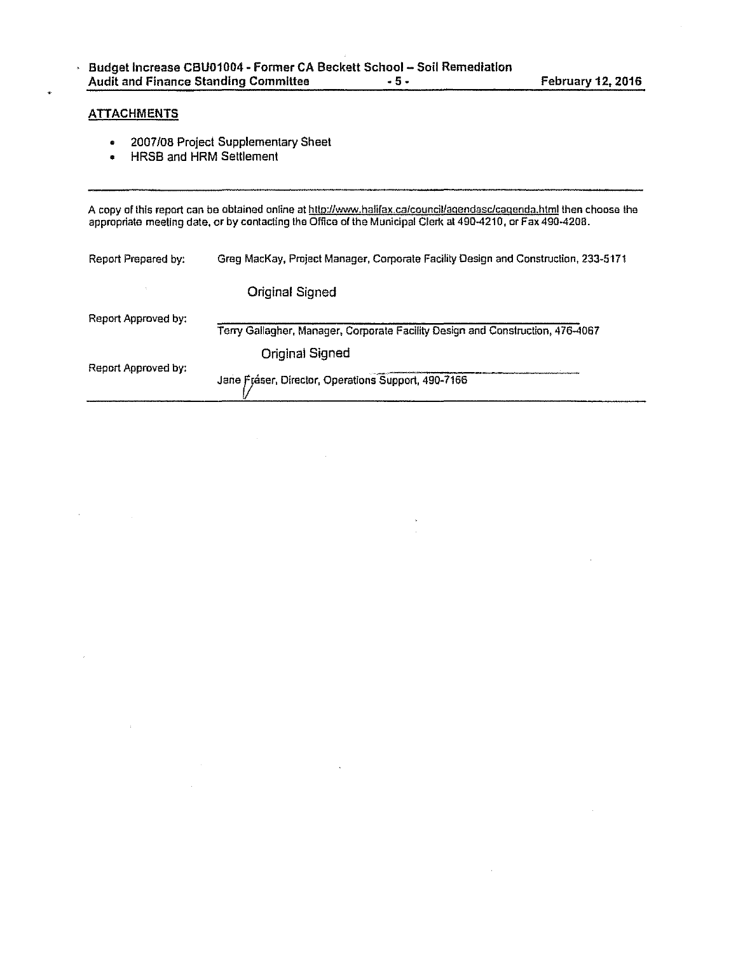# **ATTACHMENTS**

 $\lambda$ 

l,

- 2007/08 Project Supplementary Sheet
- HRSB and HRM Settlement

A copy of this report can be obtained online at <u>http://www.halifax.ca/council/agendasc/cagenda.html</u> then choose the appropriate meeting dale, or by contacting the Office of the Municipal Clerk at 490-4210, or Fax 490-4208.

| Report Prepared by: | Greg MacKay, Project Manager, Corporate Facility Design and Construction, 233-5171 |
|---------------------|------------------------------------------------------------------------------------|
|                     | <b>Original Signed</b>                                                             |
| Report Approved by: | Terry Gallagher, Manager, Corporate Facility Design and Construction, 476-4067     |
|                     | <b>Original Signed</b>                                                             |
| Report Approved by: | Jane Fráser, Director, Operations Support, 490-7166                                |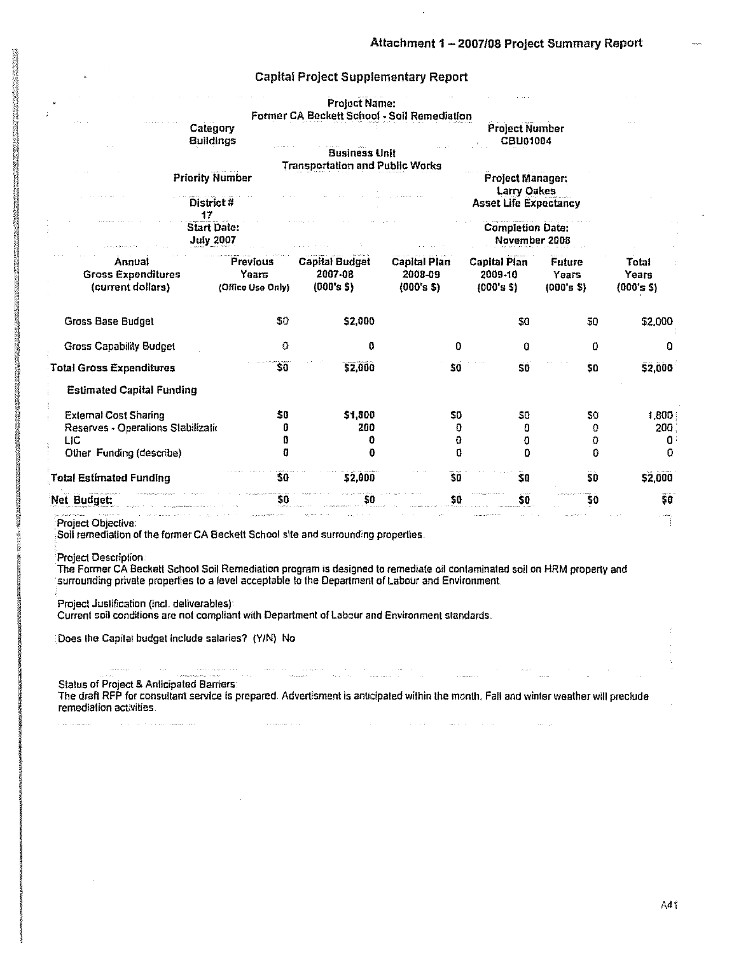## **Capital Project Supplementary Report**

|                                    |                   | Project Name:                               |              |                              |           |            |
|------------------------------------|-------------------|---------------------------------------------|--------------|------------------------------|-----------|------------|
|                                    |                   | Former CA Beckett School - Soil Remediation |              |                              |           |            |
| Category                           |                   |                                             |              | <b>Project Number</b>        |           |            |
| <b>Buildings</b>                   |                   |                                             |              | <b>CBU01004</b>              |           |            |
|                                    |                   | <b>Business Unit</b>                        |              |                              |           |            |
|                                    |                   | <b>Transportation and Public Works</b>      |              |                              |           |            |
| <b>Priority Number</b>             |                   |                                             |              | <b>Project Manager:</b>      |           |            |
|                                    |                   |                                             |              | <b>Larry Oakes</b>           |           |            |
| District#<br>17                    |                   |                                             |              | <b>Asset Life Expectancy</b> |           |            |
| <b>Start Date:</b>                 |                   |                                             |              | <b>Completion Date:</b>      |           |            |
| <b>July 2007</b>                   |                   |                                             |              | November 2008                |           |            |
| Annual                             | Previous          | <b>Capital Budget</b>                       | Capital Plan | <b>Capital Plan</b>          | Future    | Total      |
| <b>Gross Expenditures</b>          | Years             | 2007-08                                     | 2008-09      | 2009-10                      | Years     | Years      |
| (current dollars)                  | (Office Use Only) | $(000's$ \$)                                | (000's 5)    | (000's 5)                    | (000's 5) | (000's \$) |
| Gross Base Budget                  | 50                | \$2,000                                     |              | 30                           | 50        | \$2,000    |
|                                    | 0                 |                                             |              |                              |           |            |
| <b>Gross Capability Budget</b>     |                   | O                                           | O            | 0                            | 0         | o          |
| <b>Total Gross Expenditures</b>    | \$0               | \$2,000                                     | \$0          | SO <sub>1</sub>              | \$0       | \$2,000    |
| <b>Estimated Capital Funding</b>   |                   |                                             |              |                              |           |            |
| <b>External Cost Sharing</b>       | 50                | \$1,800                                     | 50           | S0                           | 50        | 1.800      |
| Reserves - Operations Stabilizatio | Û                 | 200                                         | O            | O                            | 0         | 200        |
| LIC                                | Ũ                 | o                                           | 0            | 0                            | 0         | 0          |
| Other Funding (describe)           | a                 | 0                                           | 0            | 0                            | n         | 0          |
| <b>Total Estimated Funding</b>     | \$0               | \$2.000                                     | \$0          | SO <sub>1</sub>              | 30        | \$2,000    |
| Net Budget:                        | \$0               | SO.                                         | \$O          | 30                           | 30        | 50         |
| Project Objective:                 |                   |                                             |              |                              |           |            |

Soil remediation of the former CA Beckett School site and surrounding properties.

**Project Description:** 

The Former CA Beckett School Soil Remediation program is designed to remediate oil contaminated soil on HRM property and surrounding private properties to a level acceptable to the Department of Labour and Environment.

Project Justification (incl. deliverables):

Current soil conditions are not compliant with Department of Labour and Environment standards.

 $\label{eq:1} \frac{1}{\sqrt{2\pi}\sqrt{2}}\left(\frac{1}{\sqrt{2\pi}}\right)^{2} \left(\frac{1}{2\pi}\right)^{2} \left(\frac{1}{2\pi}\right)^{2}$  , where

 $\hat{z}$  , and a mass  $\hat{z}$  , and

Does the Capital budget include salaries? (Y/N) No

 $\hat{z}$  and a signal of  $\hat{z}$  ,  $\hat{z}$ 

 $\sim 100$ 

and the company of the company of the company of the company of the company of the company of the company of the company of the company of the company of the company of the company of the company of the company of the comp

**Status of Project & Anticipated Barriers:** The draft RFP for consultant service is prepared. Advertisment is anticipated within the month, Fall and winter weather will preclude remediation activities.

a di papa kalendari dan bahasa dan bahasa dan bahasa dan bahasa dan bahasa dan bahasa dan bahasa dan bahasa da<br>Alamanya

 $\mathcal{L}^{\mathcal{L}}$  and  $\mathcal{L}^{\mathcal{L}}$  are  $\mathcal{L}^{\mathcal{L}}$  . The simulation of  $\mathcal{L}^{\mathcal{L}}$ 

 $\sim 10^{-1}$ 

الموادي المتعاشي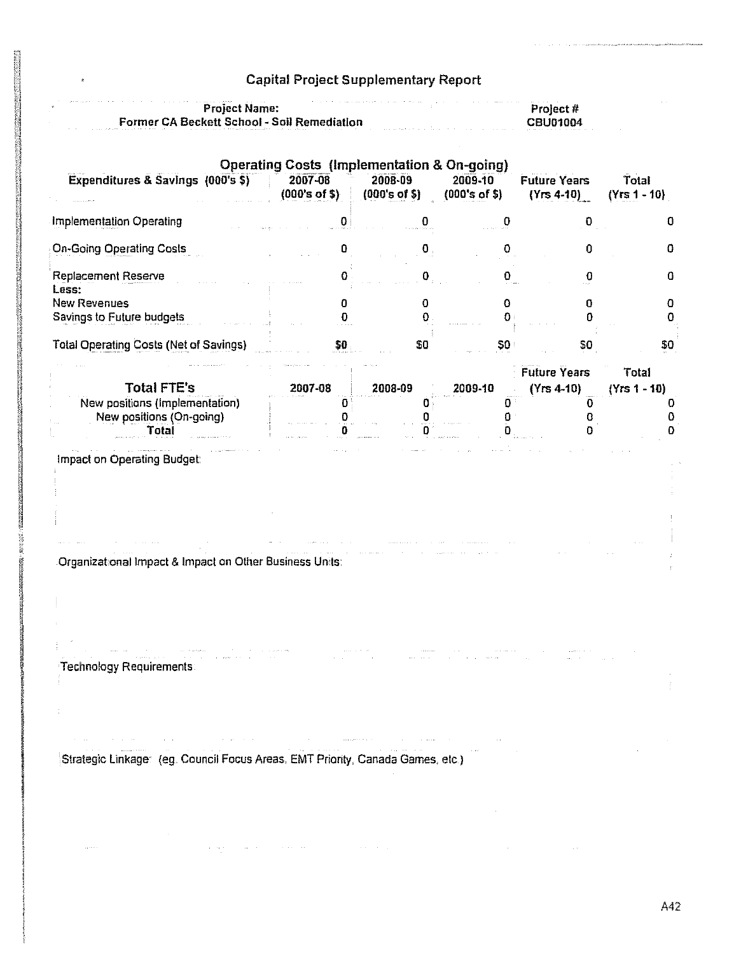# Capital Project Supplementary Report

| the contract of the contract of the contract of the contract of the contract of the contract of the contract of<br>the control of the company of the control of the control of the control of the control of the control of the control of the control of the control of the control of the control of the control of the control of the control<br><b>Project Name:</b>                                | Prolect #       |
|---------------------------------------------------------------------------------------------------------------------------------------------------------------------------------------------------------------------------------------------------------------------------------------------------------------------------------------------------------------------------------------------------------|-----------------|
| <b>Former CA Beckett School - Soil Remediation</b><br>المناسبة ومناديات والمنافر والمنادي والمواطنين والتنافير والمنافر والمتحدة والمتحدة والمواطنين والمنافر المنافر<br>a concentration of the contract of the concentration of the concentration of the concentration of the concentration of the concentration of the concentration of the concentration of the concentration of the concentration o | <b>CBU01004</b> |

|                                                         | <b>Operating Costs (Implementation &amp; On-going)</b> |                          |                          |                                     |                         |
|---------------------------------------------------------|--------------------------------------------------------|--------------------------|--------------------------|-------------------------------------|-------------------------|
| Expenditures & Savings (000's \$)                       | 2007-08<br>(000's of \$)                               | 2008-09<br>(000's of \$) | 2009-10<br>(000's of \$) | <b>Future Years</b><br>$(Yrs 4-10)$ | Total<br>$(Yrs 1 - 10)$ |
| <b>Implementation Operating</b>                         |                                                        |                          |                          | O                                   |                         |
| <b>On-Going Operating Costs</b>                         |                                                        | $\langle 0 \rangle$      |                          | 0                                   | Ω                       |
| Replacement Reserve<br>Less:                            |                                                        | n                        |                          | Ω                                   |                         |
| <b>New Revenues</b>                                     |                                                        | 0                        |                          | Ü                                   | n                       |
| Savings to Future budgets                               |                                                        | o                        |                          | n                                   | 0                       |
| <b>Total Operating Costs (Net of Savings)</b>           | \$D                                                    | \$0                      | 50 <sub>1</sub>          | 50                                  | \$0                     |
|                                                         |                                                        |                          |                          | <b>Future Years</b>                 | Total                   |
| <b>Total FTE's</b>                                      | 2007-08                                                | 2008-09                  | 2009-10                  | $(Yrs 4-10)$                        | $(Yrs 1 - 10)$          |
| New positions (Implementation)                          | o                                                      |                          |                          | n                                   |                         |
| New positions (On-going)                                |                                                        |                          |                          |                                     |                         |
| Total                                                   |                                                        |                          |                          |                                     |                         |
| Impact on Operating Budget:                             |                                                        |                          |                          |                                     |                         |
|                                                         |                                                        |                          |                          |                                     |                         |
|                                                         |                                                        |                          |                          |                                     |                         |
|                                                         |                                                        |                          |                          |                                     |                         |
| Organizational Impact & Impact on Other Business Units: |                                                        |                          |                          |                                     |                         |

 $\sim 10^{11}$  km s  $^{-1}$ 

Technology Requirements

÷

Strategic Linkage (eg. Council Focus Areas. EMT Priority, Canada Games, etc)

 $\hat{f}$  , and the second constraint of the second constraint  $\hat{f}$  , and  $\hat{f}$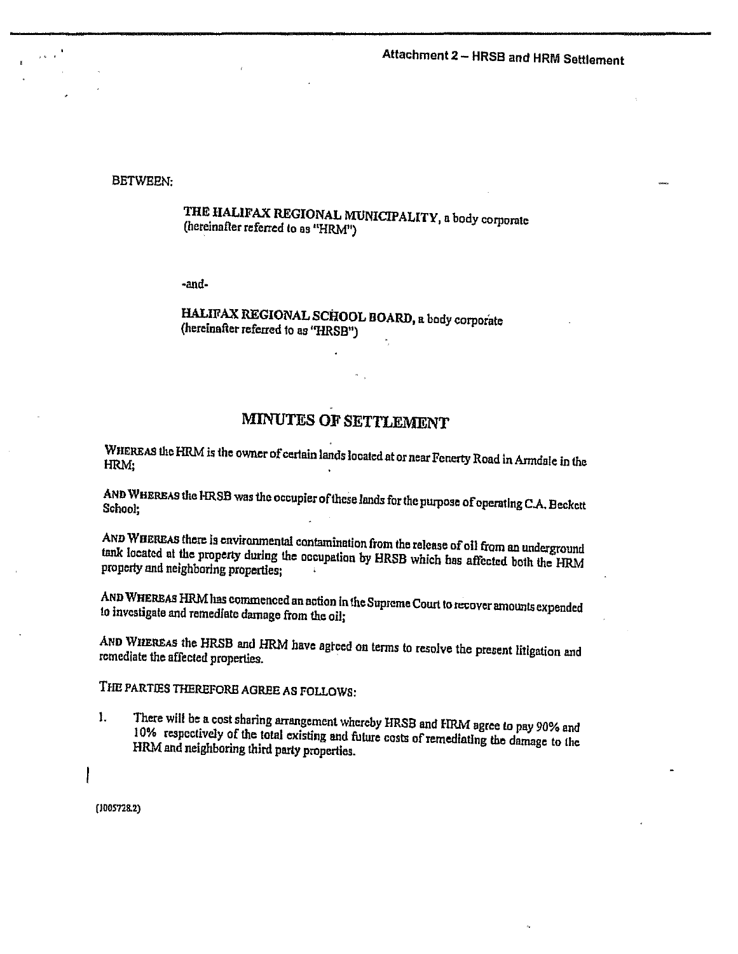# Attachment 2 - HRSB and HRM Settlement

BETWEEN:

THE HALIFAX REGIONAL MUNICIPALITY, a body corporate (hereinafter referred lo as "HRM")

·and·

HALIFAX REGIONAL SCHOOL BOARD, a body corporate (hereinafter referred to as "HRSB")

# MINUTES OF SETTLEMENT

WHEREAS the HRM is the owner of certain lands located at or near Fenerty Road in Armdale in the HRM;

AND WHEREAS the HR.SB was the occupier of these *lands* for the purpose ofoperatlng C.A. Beckett School;

AND WHEREAS there is environmental contamination from the release of oil from an underground tank located at the property during the occupation by HRSB which has affected both the HRM property and neighboring properties;

AND WHEREAS HRM has commenced an action in the Supreme Court to recover amounts expended to investigate and remediate damage from the oil;

AND WHEREAS the HRSB and HRM have agteed on terms to resolve the present litigation and rcmediate the affected properties.

THE PARTIES THEREFORE AGREE AS FOLLOWS:

1. There will be a cost sharing arrangement whereby HRSB and HRM agree to pay 90% and 10% respectively of the total existing and future costs of remediating the damage to the HRM and neighboring third party properties.

(1005728.2)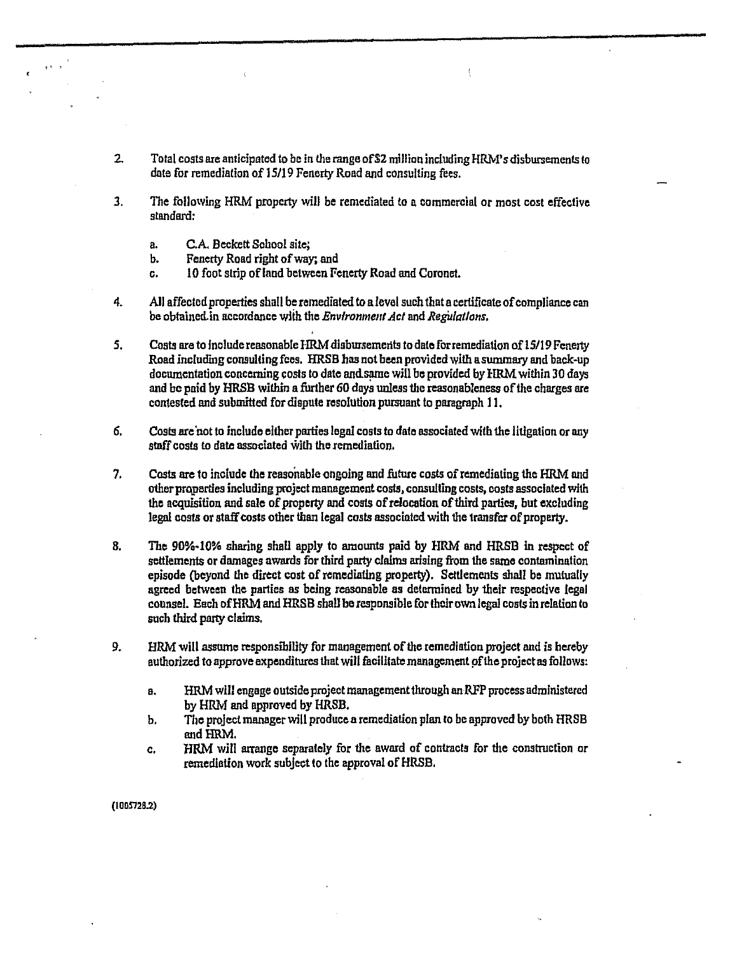- 2. Total costs are anticipated to be in the range of \$2 million including HRM's disbursements to date for remediation of 15/19 Fenerty Road and consulting fees.
- 3. The following HRM property will be remediated to a commercial or most cost effective standard:
	- a. C.A. Beckett School site:

 $, \cdot \cdot$ 

- b. Fenerty Road right of way; and
- c. 10 foot strip of land between Fenerty Road and Coronel.
- 4. All affected properties shall be remediated to a level such that a certificate of compliance can be obtained.in accordnnce wlih the *Environment Act* and *Regiilallons.*
- *S.* Costs are to Include reasonable HRM dlsbursemerlts to dateforremediatlon of 15/19 Fenerty Road including consulting fees. HRSB has not been provided with aswnmary and back-up documentation concerning costs to date and same will be provided by HRM within 30 days and be paid by HRSB within a further 60 days unless the reasonableness of the charges are contested and submitted for dispute resolution pursuant to paragraph 11.
- 6. Costs are not to include either parties legal costs to date associated with the litigation or any staff costs to date associated with the remediation.
- 7. *Casis* are to include the reasonable ongoing and future costs ofremediating the HRM and otherproperties including project management costs, comulting costs, costs associated with the acquisition and sale of property and costs of relocation of third parties, but excluding legal costs or staff costs other than legal *costs* associated with the transfer of property.
- 8. The 90%-10% sharing shall apply to amounts paid by HRM and HRSB in respcet of settlements or damages awards for third party claims arising from the same contamination episode (beyond the direct cost of remediating property). Settlements shall be mutually agreed between the parties as being reasonable as detennined by 1helr respective legal counsel. Each of HRM and HRSB shall be responsible for their own legal costs in relation to such third party claims.
- 9. HRM will asswne responsibllity for management of the remediation projeet and ls hereby authorized to approve expenditures that will facilitate management pf the project as follows:
	- a. HRM will engage outside project management 1hrough an RFP process administered by HRM and approved by HRSB.
	- b. The project manager will produce a remediation plan to be approved by both HRSB and HRM.
	- c. HRM will arrange separately for the award of contracts for the construction or remediation work subject to the approval of HRSB.

(IOOS72B.2)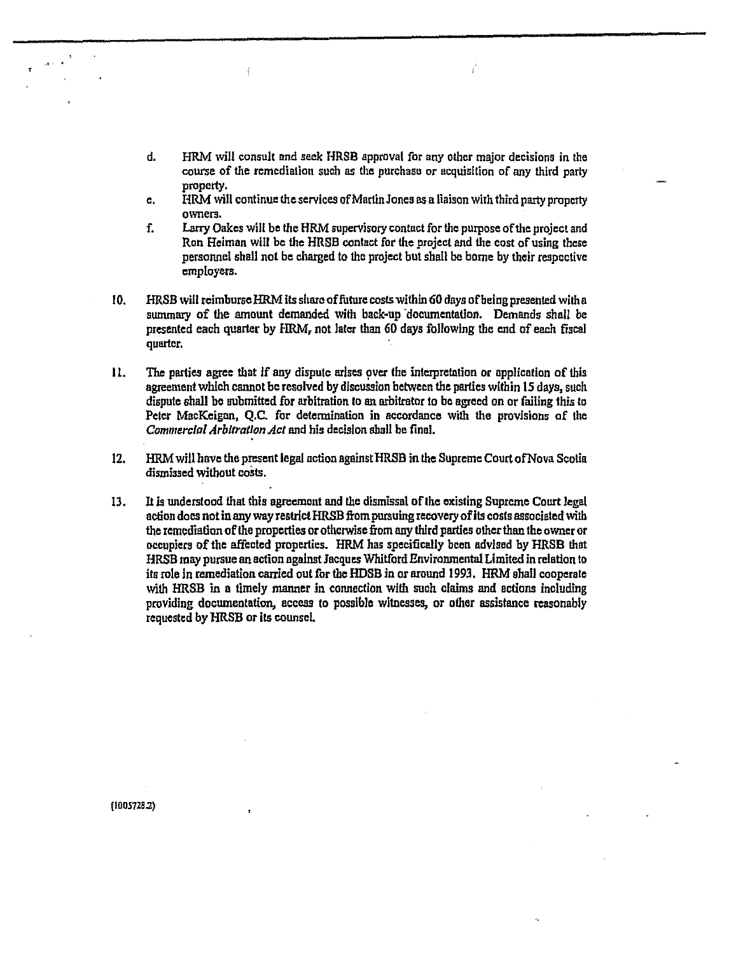d. HRM will consult and seek HRSB approval for any other major decisions in the course of the remediation such as the purchase or acquisition of any third party property.

 $\hat{f}$ 

- c. HRM will continue the services of Marlin Jones as a liaison with third party property owners.
- f. Larry Oakes will be the BRM supervisory contact for the purpose of the project and Ron Heiman will be the HRSB contact for the project and the cost of using these personnel shall not be charged to the project but shall be borne by their respective employers.
- 10. HRSB will reimburse HRM its share of future costs within 60 days of being presented with a summary of the amount demanded with back-up documentation. Demands shall be presented each quarter by HRM, not later than 60 days following the and of each fiscal quarter.
- II. The parties agree that If any dispute arises over the interpretation or application of this agreement which cannot be resolved by discussion between the parties within 15 days, such dispute shall be submitted for arbitration to an arbitrator to be agreed on or failing this to Peter MacKeigon, Q.C. for detennlnalion in accordance with the provisions of the *Commercial Arbitration Act* and his decision shall be final.
- 12. HRM will have the present legal action against HRSB in the Supreme Court of Nova Scotia dismissed without costs.
- 13. It ls understood that this agreement and the dismissal of the existing Supreme Court legal action does not in any way restrict HRSB from pursuing recovery of its costs associated with the remediation of the properties or otherwise from any third parties other than tbe owner or occupiers of the affected properties. HRM has specifically been advised by HRSB that HRSB may pursue an action against Jacques Whitford Environmental Limited in relation to its role in remediation carried out for the HDSB in or around 1993. HRM shall cooperate with HRSB in a timely manner in connection with such claims and actions including providing documeatation, access to possible witnesses, or other assistance reasonably requested by HRSB or its counsel

(1005728.2)